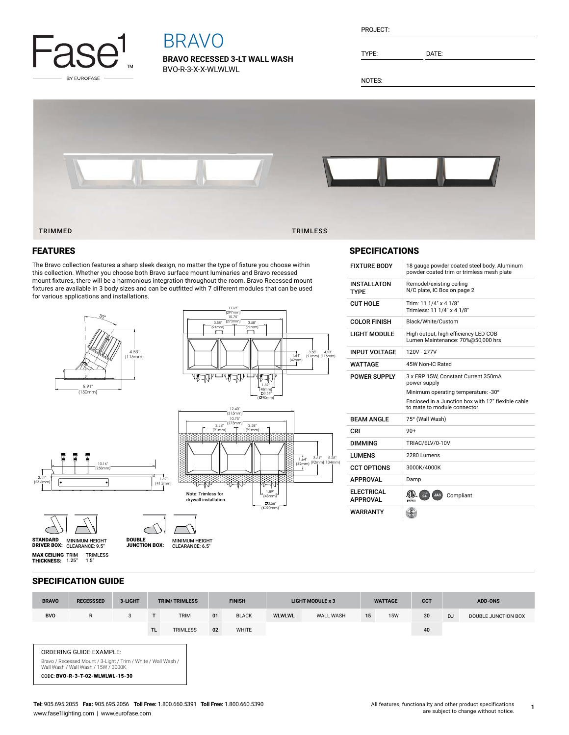

# BRAVO

**BRAVO RECESSED 3-LT WALL WASH** BVO-R-3-X-X-WLWLWL

| PROJECT: |  |
|----------|--|
|          |  |

TYPE: DATE:

NOTES:



## FEATURES

The Bravo collection features a sharp sleek design, no matter the type of fixture you choose within this collection. Whether you choose both Bravo surface mount luminaries and Bravo recessed mount fixtures, there will be a harmonious integration throughout the room. Bravo Recessed mount fixtures are available in 3 body sizes and can be outfitted with 7 different modules that can be used for various applications and installations.



| <b>INSTALLATON</b><br><b>TYPE</b>    | Remodel/existing ceiling<br>N/C plate. IC Box on page 2                                                                                                                         |
|--------------------------------------|---------------------------------------------------------------------------------------------------------------------------------------------------------------------------------|
| <b>CUT HOLE</b>                      | Trim: 11 1/4" x 4 1/8"<br>Trimless: 11 1/4" x 4 1/8"                                                                                                                            |
| <b>COLOR FINISH</b>                  | Black/White/Custom                                                                                                                                                              |
| <b>LIGHT MODULE</b>                  | High output, high efficiency LED COB<br>Lumen Maintenance: 70%@50,000 hrs                                                                                                       |
| <b>INPUT VOLTAGE</b>                 | 120V - 277V                                                                                                                                                                     |
| WATTAGE                              | 45W Non-IC Rated                                                                                                                                                                |
| <b>POWER SUPPLY</b>                  | 3 x ERP 15W. Constant Current 350mA<br>power supply<br>Minimum operating temperature: -30°<br>Enclosed in a Junction box with 12" flexible cable<br>to mate to module connector |
| <b>BEAM ANGLE</b>                    | 75° (Wall Wash)                                                                                                                                                                 |
| CRI                                  | $90+$                                                                                                                                                                           |
| <b>DIMMING</b>                       | TRIAC/ELV/0-10V                                                                                                                                                                 |
| <b>I UMENS</b>                       | 2280 Lumens                                                                                                                                                                     |
| <b>CCT OPTIONS</b>                   | 3000K/4000K                                                                                                                                                                     |
| <b>APPROVAL</b>                      | Damp                                                                                                                                                                            |
| <b>ELECTRICAL</b><br><b>APPROVAL</b> | $\frac{1}{24}$<br>JA8<br>Compliant                                                                                                                                              |
| WARRANTY                             |                                                                                                                                                                                 |

FIXTURE BODY 18 gauge powder coated steel body. Aluminum

powder coated trim or trimless mesh plate

## SPECIFICATION GUIDE

| <b>BRAVO</b>                                                                                                                                                       | <b>RECESSSED</b> | 3-LIGHT | <b>TRIM/TRIMLESS</b> |                 | <b>FINISH</b> |              | <b>LIGHT MODULE x 3</b> |           | <b>WATTAGE</b> |            | <b>CCT</b> | <b>ADD-ONS</b> |                     |
|--------------------------------------------------------------------------------------------------------------------------------------------------------------------|------------------|---------|----------------------|-----------------|---------------|--------------|-------------------------|-----------|----------------|------------|------------|----------------|---------------------|
| <b>BVO</b>                                                                                                                                                         | $\mathsf{R}$     | 3       |                      | <b>TRIM</b>     | 01            | <b>BLACK</b> | <b>WLWLWL</b>           | WALL WASH | 15             | <b>15W</b> | 30         | <b>DJ</b>      | DOUBLE JUNCTION BOX |
|                                                                                                                                                                    |                  |         | TL.                  | <b>TRIMLESS</b> | 02            | WHITE        |                         |           |                |            | 40         |                |                     |
| ORDERING GUIDE EXAMPLE:<br>Bravo / Recessed Mount / 3-Light / Trim / White / Wall Wash /<br>Wall Wash / Wall Wash / 15W / 3000K<br>CODE: BVO-R-3-T-02-WLWLWL-15-30 |                  |         |                      |                 |               |              |                         |           |                |            |            |                |                     |

**1**